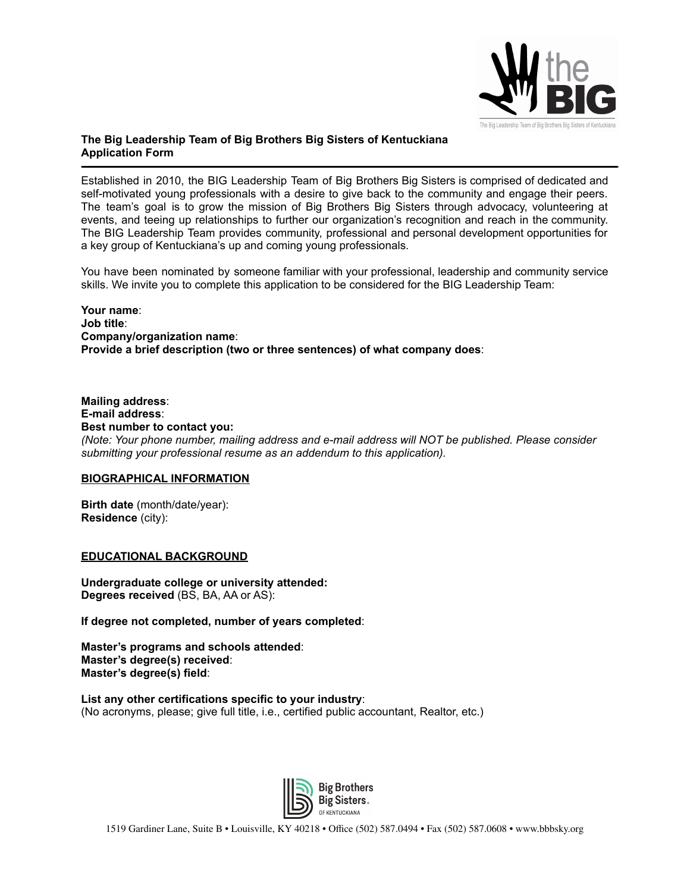

# **The Big Leadership Team of Big Brothers Big Sisters of Kentuckiana Application Form**

Established in 2010, the BIG Leadership Team of Big Brothers Big Sisters is comprised of dedicated and self-motivated young professionals with a desire to give back to the community and engage their peers. The team's goal is to grow the mission of Big Brothers Big Sisters through advocacy, volunteering at events, and teeing up relationships to further our organization's recognition and reach in the community. The BIG Leadership Team provides community, professional and personal development opportunities for a key group of Kentuckiana's up and coming young professionals.

You have been nominated by someone familiar with your professional, leadership and community service skills. We invite you to complete this application to be considered for the BIG Leadership Team:

#### **Your name**: **Job title**: **Company/organization name**: **Provide a brief description (two or three sentences) of what company does**:

**Mailing address**: **E-mail address**: **Best number to contact you:** *(Note: Your phone number, mailing address and e-mail address will NOT be published. Please consider submitting your professional resume as an addendum to this application).*

#### **BIOGRAPHICAL INFORMATION**

**Birth date** (month/date/year): **Residence** (city):

**EDUCATIONAL BACKGROUND**

**Undergraduate college or university attended: Degrees received** (BS, BA, AA or AS):

**If degree not completed, number of years completed**:

**Master's programs and schools attended**: **Master's degree(s) received**: **Master's degree(s) field**:

**List any other certifications specific to your industry**: (No acronyms, please; give full title, i.e., certified public accountant, Realtor, etc.)